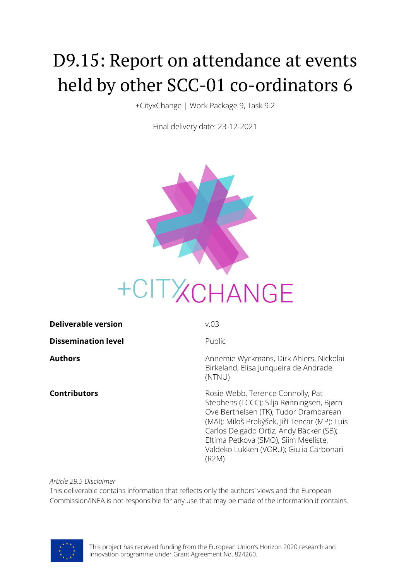# D9.15: Report on attendance at events held by other SCC-01 co-ordinators 6

+CityxChange | Work Package 9, Task 9.2

Final delivery date: 23-12-2021



| <b>Deliverable version</b> | V.03                                                                                                                                                                                                               |
|----------------------------|--------------------------------------------------------------------------------------------------------------------------------------------------------------------------------------------------------------------|
| <b>Dissemination level</b> | Public                                                                                                                                                                                                             |
| Authors                    | Annemie Wyckmans, Dirk Ahlers, Nickolai<br>Birkeland, Elisa Junqueira de Andrade<br>(NTNU)                                                                                                                         |
| Contributors               | Rosie Webb, Terence Connolly, Pat<br>Stephens (LCCC); Silja Rønningsen, Bjørn<br>Ove Berthelsen (TK); Tudor Drambarean<br>(MAI); Miloš Prokýšek, Jiří Tencar (MP); Luis<br>Carlos Delgado Ortiz, Andy Bäcker (SB); |

*Article 29.5 Disclaimer*

This deliverable contains information that reflects only the authors' views and the European Commission/INEA is not responsible for any use that may be made of the information it contains.



(R2M)

Eftima Petkova (SMO); Siim Meeliste, Valdeko Lukken (VORU); Giulia Carbonari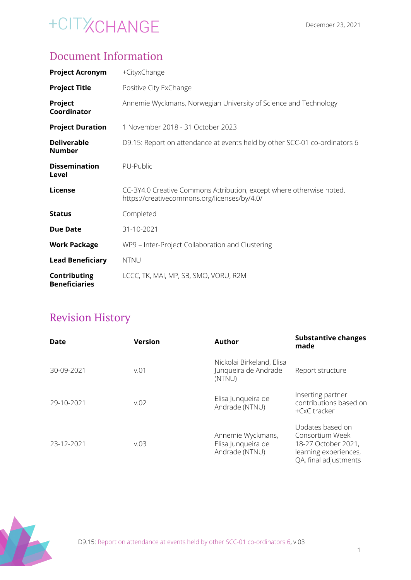### Document Information

| <b>Project Acronym</b>               | +CityxChange                                                                                                         |
|--------------------------------------|----------------------------------------------------------------------------------------------------------------------|
| <b>Project Title</b>                 | Positive City ExChange                                                                                               |
| Project<br>Coordinator               | Annemie Wyckmans, Norwegian University of Science and Technology                                                     |
| <b>Project Duration</b>              | 1 November 2018 - 31 October 2023                                                                                    |
| <b>Deliverable</b><br><b>Number</b>  | D9.15: Report on attendance at events held by other SCC-01 co-ordinators 6                                           |
| <b>Dissemination</b><br>Level        | PU-Public                                                                                                            |
| License                              | CC-BY4.0 Creative Commons Attribution, except where otherwise noted.<br>https://creativecommons.org/licenses/by/4.0/ |
| <b>Status</b>                        | Completed                                                                                                            |
| <b>Due Date</b>                      | 31-10-2021                                                                                                           |
| <b>Work Package</b>                  | WP9 - Inter-Project Collaboration and Clustering                                                                     |
| <b>Lead Beneficiary</b>              | <b>NTNU</b>                                                                                                          |
| Contributing<br><b>Beneficiaries</b> | LCCC, TK, MAI, MP, SB, SMO, VORU, R2M                                                                                |

### Revision History

| <b>Date</b> | <b>Version</b> | <b>Author</b>                                               | <b>Substantive changes</b><br>made                                                                           |
|-------------|----------------|-------------------------------------------------------------|--------------------------------------------------------------------------------------------------------------|
| 30-09-2021  | v.01           | Nickolai Birkeland, Elisa<br>Junqueira de Andrade<br>(NTNU) | Report structure                                                                                             |
| 29-10-2021  | V.02           | Elisa Junqueira de<br>Andrade (NTNU)                        | Inserting partner<br>contributions based on<br>+CxC tracker                                                  |
| 23-12-2021  | V.03           | Annemie Wyckmans,<br>Elisa Junqueira de<br>Andrade (NTNU)   | Updates based on<br>Consortium Week<br>18-27 October 2021,<br>learning experiences,<br>QA, final adjustments |

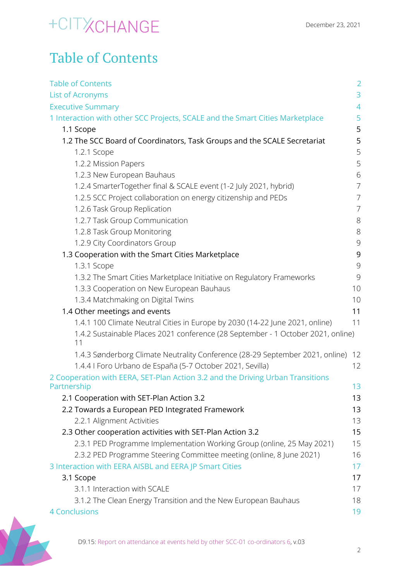### Table of Contents

| <b>Table of Contents</b>                                                               | $\overline{2}$ |
|----------------------------------------------------------------------------------------|----------------|
| <b>List of Acronyms</b>                                                                | 3              |
| <b>Executive Summary</b>                                                               | $\overline{4}$ |
| 1 Interaction with other SCC Projects, SCALE and the Smart Cities Marketplace          | 5              |
| 1.1 Scope                                                                              | 5              |
| 1.2 The SCC Board of Coordinators, Task Groups and the SCALE Secretariat               | 5              |
| 1.2.1 Scope                                                                            | 5              |
| 1.2.2 Mission Papers                                                                   | 5              |
| 1.2.3 New European Bauhaus                                                             | 6              |
| 1.2.4 SmarterTogether final & SCALE event (1-2 July 2021, hybrid)                      | $\overline{7}$ |
| 1.2.5 SCC Project collaboration on energy citizenship and PEDs                         | $\overline{7}$ |
| 1.2.6 Task Group Replication                                                           | 7              |
| 1.2.7 Task Group Communication                                                         | $8\,$          |
| 1.2.8 Task Group Monitoring                                                            | $8\,$          |
| 1.2.9 City Coordinators Group                                                          | $\mathcal{G}$  |
| 1.3 Cooperation with the Smart Cities Marketplace                                      | 9              |
| 1.3.1 Scope                                                                            | 9              |
| 1.3.2 The Smart Cities Marketplace Initiative on Regulatory Frameworks                 | 9              |
| 1.3.3 Cooperation on New European Bauhaus                                              | 10             |
| 1.3.4 Matchmaking on Digital Twins                                                     | 10             |
| 1.4 Other meetings and events                                                          | 11             |
| 1.4.1 100 Climate Neutral Cities in Europe by 2030 (14-22 June 2021, online)           | 11             |
| 1.4.2 Sustainable Places 2021 conference (28 September - 1 October 2021, online)<br>11 |                |
| 1.4.3 Sønderborg Climate Neutrality Conference (28-29 September 2021, online)          | 12             |
| 1.4.4   Foro Urbano de España (5-7 October 2021, Sevilla)                              | 12             |
| 2 Cooperation with EERA, SET-Plan Action 3.2 and the Driving Urban Transitions         |                |
| Partnership                                                                            | 13             |
| 2.1 Cooperation with SET-Plan Action 3.2                                               | 13             |
| 2.2 Towards a European PED Integrated Framework                                        | 13             |
| 2.2.1 Alignment Activities                                                             | 13             |
| 2.3 Other cooperation activities with SET-Plan Action 3.2                              | 15             |
| 2.3.1 PED Programme Implementation Working Group (online, 25 May 2021)                 | 15             |
| 2.3.2 PED Programme Steering Committee meeting (online, 8 June 2021)                   | 16             |
| 3 Interaction with EERA AISBL and EERA JP Smart Cities                                 | 17             |
| 3.1 Scope                                                                              | 17             |
| 3.1.1 Interaction with SCALE                                                           | 17             |
| 3.1.2 The Clean Energy Transition and the New European Bauhaus                         | 18             |
| <b>4 Conclusions</b>                                                                   | 19             |

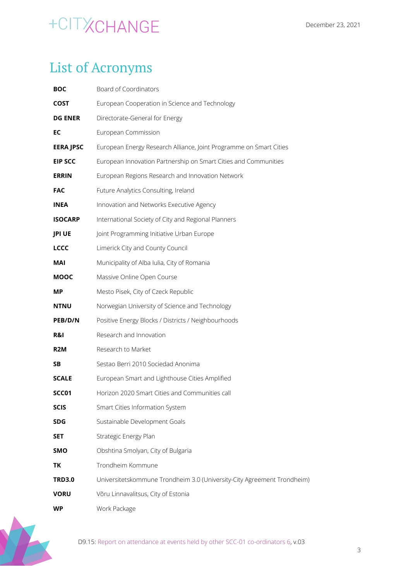### <span id="page-3-0"></span>List of Acronyms

| <b>BOC</b>       | Board of Coordinators                                                   |
|------------------|-------------------------------------------------------------------------|
| COST             | European Cooperation in Science and Technology                          |
| <b>DG ENER</b>   | Directorate-General for Energy                                          |
| EC               | European Commission                                                     |
| <b>EERA JPSC</b> | European Energy Research Alliance, Joint Programme on Smart Cities      |
| <b>EIP SCC</b>   | European Innovation Partnership on Smart Cities and Communities         |
| <b>ERRIN</b>     | European Regions Research and Innovation Network                        |
| <b>FAC</b>       | Future Analytics Consulting, Ireland                                    |
| INEA             | Innovation and Networks Executive Agency                                |
| <b>ISOCARP</b>   | International Society of City and Regional Planners                     |
| <b>JPI UE</b>    | Joint Programming Initiative Urban Europe                               |
| <b>LCCC</b>      | Limerick City and County Council                                        |
| MAI              | Municipality of Alba Iulia, City of Romania                             |
| <b>MOOC</b>      | Massive Online Open Course                                              |
| ΜP               | Mesto Pisek, City of Czeck Republic                                     |
| <b>NTNU</b>      | Norwegian University of Science and Technology                          |
| PEB/D/N          | Positive Energy Blocks / Districts / Neighbourhoods                     |
| R&I              | Research and Innovation                                                 |
| R <sub>2</sub> M | Research to Market                                                      |
| SΒ               | Sestao Berri 2010 Sociedad Anonima                                      |
| <b>SCALE</b>     | European Smart and Lighthouse Cities Amplified                          |
| SCC01            | Horizon 2020 Smart Cities and Communities call                          |
| <b>SCIS</b>      | Smart Cities Information System                                         |
| SDG              | Sustainable Development Goals                                           |
| <b>SET</b>       | Strategic Energy Plan                                                   |
| SMO              | Obshtina Smolyan, City of Bulgaria                                      |
| ΤK               | Trondheim Kommune                                                       |
| <b>TRD3.0</b>    | Universitetskommune Trondheim 3.0 (University-City Agreement Trondheim) |
| <b>VORU</b>      | Võru Linnavalitsus, City of Estonia                                     |
| WP               | Work Package                                                            |



D9.15: Report on attendance at events held by other SCC-01 co-ordinators 6, v.03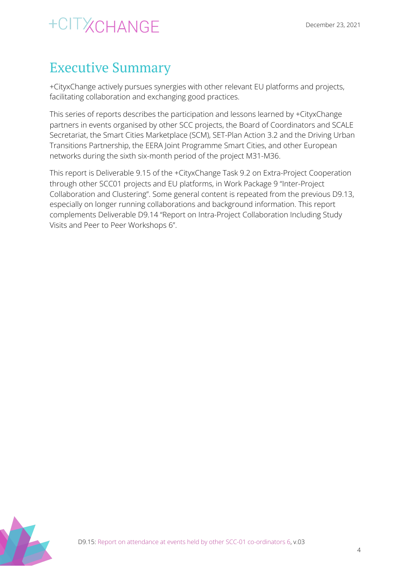### <span id="page-4-0"></span>Executive Summary

+CityxChange actively pursues synergies with other relevant EU platforms and projects, facilitating collaboration and exchanging good practices.

This series of reports describes the participation and lessons learned by +CityxChange partners in events organised by other SCC projects, the Board of Coordinators and SCALE Secretariat, the Smart Cities Marketplace (SCM), SET-Plan Action 3.2 and the Driving Urban Transitions Partnership, the EERA Joint Programme Smart Cities, and other European networks during the sixth six-month period of the project M31-M36.

This report is Deliverable 9.15 of the +CityxChange Task 9.2 on Extra-Project Cooperation through other SCC01 projects and EU platforms, in Work Package 9 "Inter-Project Collaboration and Clustering". Some general content is repeated from the previous D9.13, especially on longer running collaborations and background information. This report complements Deliverable D9.14 "Report on Intra-Project Collaboration Including Study Visits and Peer to Peer Workshops 6".

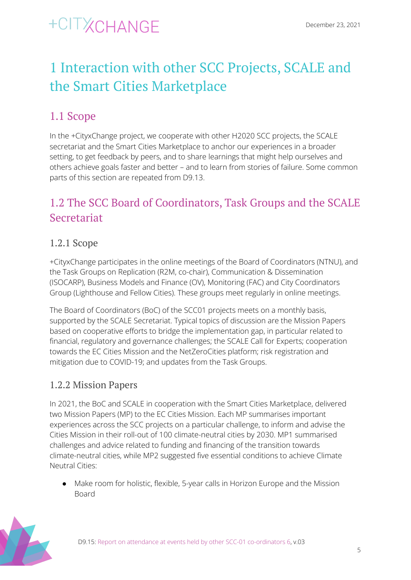### <span id="page-5-0"></span>1 Interaction with other SCC Projects, SCALE and the Smart Cities Marketplace

### <span id="page-5-1"></span>1.1 Scope

In the +CityxChange project, we cooperate with other H2020 SCC projects, the SCALE secretariat and the Smart Cities Marketplace to anchor our experiences in a broader setting, to get feedback by peers, and to share learnings that might help ourselves and others achieve goals faster and better – and to learn from stories of failure. Some common parts of this section are repeated from D9.13.

### <span id="page-5-2"></span>1.2 The SCC Board of Coordinators, Task Groups and the SCALE Secretariat

#### <span id="page-5-3"></span>1.2.1 Scope

+CityxChange participates in the online meetings of the Board of Coordinators (NTNU), and the Task Groups on Replication (R2M, co-chair), Communication & Dissemination (ISOCARP), Business Models and Finance (OV), Monitoring (FAC) and City Coordinators Group (Lighthouse and Fellow Cities). These groups meet regularly in online meetings.

The Board of Coordinators (BoC) of the SCC01 projects meets on a monthly basis, supported by the SCALE Secretariat. Typical topics of discussion are the Mission Papers based on cooperative efforts to bridge the implementation gap, in particular related to financial, regulatory and governance challenges; the SCALE Call for Experts; cooperation towards the EC Cities Mission and the NetZeroCities platform; risk registration and mitigation due to COVID-19; and updates from the Task Groups.

#### <span id="page-5-4"></span>1.2.2 Mission Papers

In 2021, the BoC and SCALE in cooperation with the Smart Cities Marketplace, delivered two Mission Papers (MP) to the EC Cities Mission. Each MP summarises important experiences across the SCC projects on a particular challenge, to inform and advise the Cities Mission in their roll-out of 100 climate-neutral cities by 2030. MP1 summarised challenges and advice related to funding and financing of the transition towards climate-neutral cities, while MP2 suggested five essential conditions to achieve Climate Neutral Cities:

● Make room for holistic, flexible, 5-year calls in Horizon Europe and the Mission Board

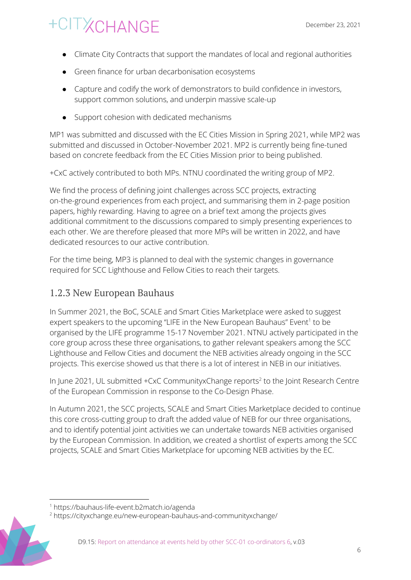- Climate City Contracts that support the mandates of local and regional authorities
- Green finance for urban decarbonisation ecosystems
- Capture and codify the work of demonstrators to build confidence in investors, support common solutions, and underpin massive scale-up
- Support cohesion with dedicated mechanisms

MP1 was submitted and discussed with the EC Cities Mission in Spring 2021, while MP2 was submitted and discussed in October-November 2021. MP2 is currently being fine-tuned based on concrete feedback from the EC Cities Mission prior to being published.

+CxC actively contributed to both MPs. NTNU coordinated the writing group of MP2.

We find the process of defining joint challenges across SCC projects, extracting on-the-ground experiences from each project, and summarising them in 2-page position papers, highly rewarding. Having to agree on a brief text among the projects gives additional commitment to the discussions compared to simply presenting experiences to each other. We are therefore pleased that more MPs will be written in 2022, and have dedicated resources to our active contribution.

For the time being, MP3 is planned to deal with the systemic changes in governance required for SCC Lighthouse and Fellow Cities to reach their targets.

#### <span id="page-6-0"></span>1.2.3 New European Bauhaus

In Summer 2021, the BoC, SCALE and Smart Cities Marketplace were asked to suggest expert speakers to the upcoming "LIFE in the New European Bauhaus" Event<sup>1</sup> to be organised by the LIFE programme 15-17 November 2021. NTNU actively participated in the core group across these three organisations, to gather relevant speakers among the SCC Lighthouse and Fellow Cities and document the NEB activities already ongoing in the SCC projects. This exercise showed us that there is a lot of interest in NEB in our initiatives.

In June 2021, UL submitted  $+CxC$  CommunityxChange reports<sup>2</sup> to the Joint Research Centre of the European Commission in response to the Co-Design Phase.

In Autumn 2021, the SCC projects, SCALE and Smart Cities Marketplace decided to continue this core cross-cutting group to draft the added value of NEB for our three organisations, and to identify potential joint activities we can undertake towards NEB activities organised by the European Commission. In addition, we created a shortlist of experts among the SCC projects, SCALE and Smart Cities Marketplace for upcoming NEB activities by the EC.

<sup>&</sup>lt;sup>2</sup> https://cityxchange.eu/new-european-bauhaus-and-communityxchange/



<sup>1</sup> https://bauhaus-life-event.b2match.io/agenda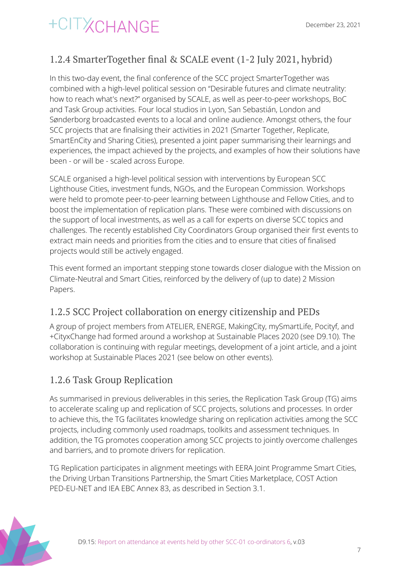#### <span id="page-7-0"></span>1.2.4 SmarterTogether final & SCALE event (1-2 July 2021, hybrid)

In this two-day event, the final conference of the SCC project SmarterTogether was combined with a high-level political session on "Desirable futures and climate neutrality: how to reach what's next?" organised by SCALE, as well as peer-to-peer workshops, BoC and Task Group activities. Four local studios in Lyon, San Sebastián, London and Sønderborg broadcasted events to a local and online audience. Amongst others, the four SCC projects that are finalising their activities in 2021 (Smarter Together, Replicate, SmartEnCity and Sharing Cities), presented a joint paper summarising their learnings and experiences, the impact achieved by the projects, and examples of how their solutions have been - or will be - scaled across Europe.

SCALE organised a high-level political session with interventions by European SCC Lighthouse Cities, investment funds, NGOs, and the European Commission. Workshops were held to promote peer-to-peer learning between Lighthouse and Fellow Cities, and to boost the implementation of replication plans. These were combined with discussions on the support of local investments, as well as a call for experts on diverse SCC topics and challenges. The recently established City Coordinators Group organised their first events to extract main needs and priorities from the cities and to ensure that cities of finalised projects would still be actively engaged.

This event formed an important stepping stone towards closer dialogue with the Mission on Climate-Neutral and Smart Cities, reinforced by the delivery of (up to date) 2 Mission Papers.

#### <span id="page-7-1"></span>1.2.5 SCC Project collaboration on energy citizenship and PEDs

A group of project members from ATELIER, ENERGE, MakingCity, mySmartLife, Pocityf, and +CityxChange had formed around a workshop at Sustainable Places 2020 (see D9.10). The collaboration is continuing with regular meetings, development of a joint article, and a joint workshop at Sustainable Places 2021 (see below on other events).

#### <span id="page-7-2"></span>1.2.6 Task Group Replication

As summarised in previous deliverables in this series, the Replication Task Group (TG) aims to accelerate scaling up and replication of SCC projects, solutions and processes. In order to achieve this, the TG facilitates knowledge sharing on replication activities among the SCC projects, including commonly used roadmaps, toolkits and assessment techniques. In addition, the TG promotes cooperation among SCC projects to jointly overcome challenges and barriers, and to promote drivers for replication.

TG Replication participates in alignment meetings with EERA Joint Programme Smart Cities, the Driving Urban Transitions Partnership, the Smart Cities Marketplace, COST Action PED-EU-NET and IEA EBC Annex 83, as described in Section 3.1.

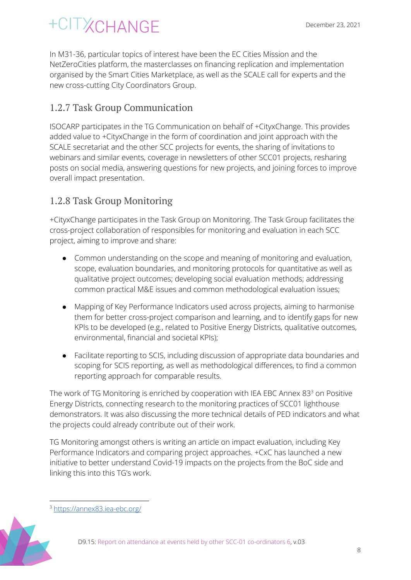# **XCHANGE**

In M31-36, particular topics of interest have been the EC Cities Mission and the NetZeroCities platform, the masterclasses on financing replication and implementation organised by the Smart Cities Marketplace, as well as the SCALE call for experts and the new cross-cutting City Coordinators Group.

#### <span id="page-8-0"></span>1.2.7 Task Group Communication

ISOCARP participates in the TG Communication on behalf of +CityxChange. This provides added value to +CityxChange in the form of coordination and joint approach with the SCALE secretariat and the other SCC projects for events, the sharing of invitations to webinars and similar events, coverage in newsletters of other SCC01 projects, resharing posts on social media, answering questions for new projects, and joining forces to improve overall impact presentation.

#### <span id="page-8-1"></span>1.2.8 Task Group Monitoring

+CityxChange participates in the Task Group on Monitoring. The Task Group facilitates the cross-project collaboration of responsibles for monitoring and evaluation in each SCC project, aiming to improve and share:

- Common understanding on the scope and meaning of monitoring and evaluation, scope, evaluation boundaries, and monitoring protocols for quantitative as well as qualitative project outcomes; developing social evaluation methods; addressing common practical M&E issues and common methodological evaluation issues;
- Mapping of Key Performance Indicators used across projects, aiming to harmonise them for better cross-project comparison and learning, and to identify gaps for new KPIs to be developed (e.g., related to Positive Energy Districts, qualitative outcomes, environmental, financial and societal KPIs);
- Facilitate reporting to SCIS, including discussion of appropriate data boundaries and scoping for SCIS reporting, as well as methodological differences, to find a common reporting approach for comparable results.

The work of TG Monitoring is enriched by cooperation with IEA EBC Annex 83 $^3$  on Positive Energy Districts, connecting research to the monitoring practices of SCC01 lighthouse demonstrators. It was also discussing the more technical details of PED indicators and what the projects could already contribute out of their work.

TG Monitoring amongst others is writing an article on impact evaluation, including Key Performance Indicators and comparing project approaches. +CxC has launched a new initiative to better understand Covid-19 impacts on the projects from the BoC side and linking this into this TG's work.

<sup>3</sup> <https://annex83.iea-ebc.org/>

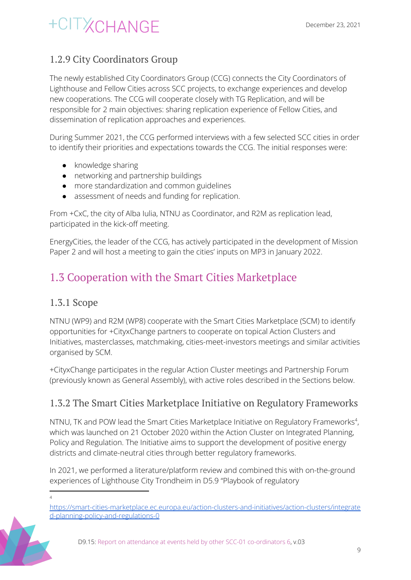#### <span id="page-9-0"></span>1.2.9 City Coordinators Group

The newly established City Coordinators Group (CCG) connects the City Coordinators of Lighthouse and Fellow Cities across SCC projects, to exchange experiences and develop new cooperations. The CCG will cooperate closely with TG Replication, and will be responsible for 2 main objectives: sharing replication experience of Fellow Cities, and dissemination of replication approaches and experiences.

During Summer 2021, the CCG performed interviews with a few selected SCC cities in order to identify their priorities and expectations towards the CCG. The initial responses were:

- knowledge sharing
- networking and partnership buildings
- more standardization and common guidelines
- assessment of needs and funding for replication.

From +CxC, the city of Alba Iulia, NTNU as Coordinator, and R2M as replication lead, participated in the kick-off meeting.

EnergyCities, the leader of the CCG, has actively participated in the development of Mission Paper 2 and will host a meeting to gain the cities' inputs on MP3 in January 2022.

### <span id="page-9-1"></span>1.3 Cooperation with the Smart Cities Marketplace

#### <span id="page-9-2"></span>1.3.1 Scope

NTNU (WP9) and R2M (WP8) cooperate with the Smart Cities Marketplace (SCM) to identify opportunities for +CityxChange partners to cooperate on topical Action Clusters and Initiatives, masterclasses, matchmaking, cities-meet-investors meetings and similar activities organised by SCM.

+CityxChange participates in the regular Action Cluster meetings and Partnership Forum (previously known as General Assembly), with active roles described in the Sections below.

#### <span id="page-9-3"></span>1.3.2 The Smart Cities Marketplace Initiative on Regulatory Frameworks

NTNU, TK and POW lead the Smart Cities Marketplace Initiative on Regulatory Frameworks<sup>4</sup>, which was launched on 21 October 2020 within the Action Cluster on Integrated Planning, Policy and Regulation. The Initiative aims to support the development of positive energy districts and climate-neutral cities through better regulatory frameworks.

In 2021, we performed a literature/platform review and combined this with on-the-ground experiences of Lighthouse City Trondheim in D5.9 "Playbook of regulatory

[https://smart-cities-marketplace.ec.europa.eu/action-clusters-and-initiatives/action-clusters/integrate](https://smart-cities-marketplace.ec.europa.eu/action-clusters-and-initiatives/action-clusters/integrated-planning-policy-and-regulations-0) [d-planning-policy-and-regulations-0](https://smart-cities-marketplace.ec.europa.eu/action-clusters-and-initiatives/action-clusters/integrated-planning-policy-and-regulations-0)



<sup>4</sup>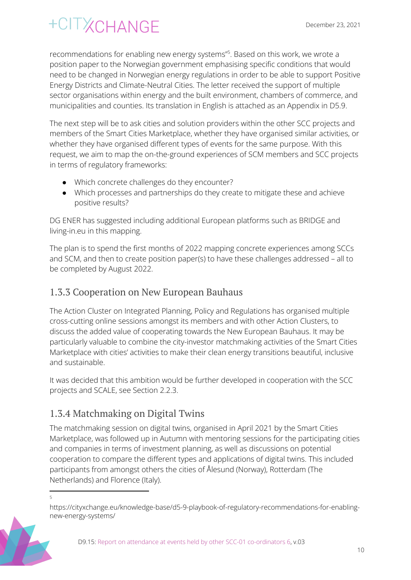recommendations for enabling new energy systems"<sup>5</sup>. Based on this work, we wrote a position paper to the Norwegian government emphasising specific conditions that would need to be changed in Norwegian energy regulations in order to be able to support Positive Energy Districts and Climate-Neutral Cities. The letter received the support of multiple sector organisations within energy and the built environment, chambers of commerce, and municipalities and counties. Its translation in English is attached as an Appendix in D5.9.

The next step will be to ask cities and solution providers within the other SCC projects and members of the Smart Cities Marketplace, whether they have organised similar activities, or whether they have organised different types of events for the same purpose. With this request, we aim to map the on-the-ground experiences of SCM members and SCC projects in terms of regulatory frameworks:

- Which concrete challenges do they encounter?
- Which processes and partnerships do they create to mitigate these and achieve positive results?

DG ENER has suggested including additional European platforms such as BRIDGE and living-in.eu in this mapping.

The plan is to spend the first months of 2022 mapping concrete experiences among SCCs and SCM, and then to create position paper(s) to have these challenges addressed – all to be completed by August 2022.

#### <span id="page-10-0"></span>1.3.3 Cooperation on New European Bauhaus

The Action Cluster on Integrated Planning, Policy and Regulations has organised multiple cross-cutting online sessions amongst its members and with other Action Clusters, to discuss the added value of cooperating towards the New European Bauhaus. It may be particularly valuable to combine the city-investor matchmaking activities of the Smart Cities Marketplace with cities' activities to make their clean energy transitions beautiful, inclusive and sustainable.

It was decided that this ambition would be further developed in cooperation with the SCC projects and SCALE, see Section 2.2.3.

#### <span id="page-10-1"></span>1.3.4 Matchmaking on Digital Twins

The matchmaking session on digital twins, organised in April 2021 by the Smart Cities Marketplace, was followed up in Autumn with mentoring sessions for the participating cities and companies in terms of investment planning, as well as discussions on potential cooperation to compare the different types and applications of digital twins. This included participants from amongst others the cities of Ålesund (Norway), Rotterdam (The Netherlands) and Florence (Italy).

https://cityxchange.eu/knowledge-base/d5-9-playbook-of-regulatory-recommendations-for-enablingnew-energy-systems/



<sup>5</sup>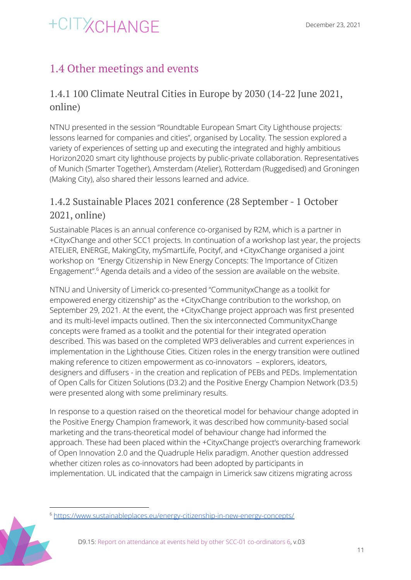### <span id="page-11-0"></span>1.4 Other meetings and events

#### <span id="page-11-1"></span>1.4.1 100 Climate Neutral Cities in Europe by 2030 (14-22 June 2021, online)

NTNU presented in the session "Roundtable European Smart City Lighthouse projects: lessons learned for companies and cities", organised by Locality. The session explored a variety of experiences of setting up and executing the integrated and highly ambitious Horizon2020 smart city lighthouse projects by public-private collaboration. Representatives of Munich (Smarter Together), Amsterdam (Atelier), Rotterdam (Ruggedised) and Groningen (Making City), also shared their lessons learned and advice.

#### <span id="page-11-2"></span>1.4.2 Sustainable Places 2021 conference (28 September - 1 October 2021, online)

Sustainable Places is an annual conference co-organised by R2M, which is a partner in +CityxChange and other SCC1 projects. In continuation of a workshop last year, the projects ATELIER, ENERGE, MakingCity, mySmartLife, Pocityf, and +CityxChange organised a joint workshop on "Energy Citizenship in New Energy Concepts: The Importance of Citizen Engagement".<sup>6</sup> Agenda details and a video of the session are available on the website.

NTNU and University of Limerick co-presented "CommunityxChange as a toolkit for empowered energy citizenship" as the +CityxChange contribution to the workshop, on September 29, 2021. At the event, the +CityxChange project approach was first presented and its multi-level impacts outlined. Then the six interconnected CommunityxChange concepts were framed as a toolkit and the potential for their integrated operation described. This was based on the completed WP3 deliverables and current experiences in implementation in the Lighthouse Cities. Citizen roles in the energy transition were outlined making reference to citizen empowerment as co-innovators – explorers, ideators, designers and diffusers - in the creation and replication of PEBs and PEDs. Implementation of Open Calls for Citizen Solutions (D3.2) and the Positive Energy Champion Network (D3.5) were presented along with some preliminary results.

In response to a question raised on the theoretical model for behaviour change adopted in the Positive Energy Champion framework, it was described how community-based social marketing and the trans-theoretical model of behaviour change had informed the approach. These had been placed within the +CityxChange project's overarching framework of Open Innovation 2.0 and the Quadruple Helix paradigm. Another question addressed whether citizen roles as co-innovators had been adopted by participants in implementation. UL indicated that the campaign in Limerick saw citizens migrating across

<sup>6</sup> <https://www.sustainableplaces.eu/energy-citizenship-in-new-energy-concepts/>

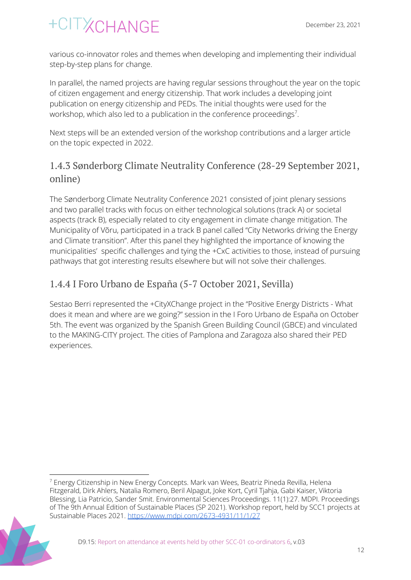various co-innovator roles and themes when developing and implementing their individual step-by-step plans for change.

In parallel, the named projects are having regular sessions throughout the year on the topic of citizen engagement and energy citizenship. That work includes a developing joint publication on energy citizenship and PEDs. The initial thoughts were used for the workshop, which also led to a publication in the conference proceedings<sup>7</sup>.

Next steps will be an extended version of the workshop contributions and a larger article on the topic expected in 2022.

#### <span id="page-12-0"></span>1.4.3 Sønderborg Climate Neutrality Conference (28-29 September 2021, online)

The Sønderborg Climate Neutrality Conference 2021 consisted of joint plenary sessions and two parallel tracks with focus on either technological solutions (track A) or societal aspects (track B), especially related to city engagement in climate change mitigation. The Municipality of Võru, participated in a track B panel called "City Networks driving the Energy and Climate transition". After this panel they highlighted the importance of knowing the municipalities' specific challenges and tying the +CxC activities to those, instead of pursuing pathways that got interesting results elsewhere but will not solve their challenges.

#### <span id="page-12-1"></span>1.4.4 I Foro Urbano de España (5-7 October 2021, Sevilla)

Sestao Berri represented the +CityXChange project in the "Positive Energy Districts - What does it mean and where are we going?" session in the I Foro Urbano de España on October 5th. The event was organized by the Spanish Green Building Council (GBCE) and vinculated to the MAKING-CITY project. The cities of Pamplona and Zaragoza also shared their PED experiences.

<sup>&</sup>lt;sup>7</sup> Energy Citizenship in New Energy Concepts. Mark van Wees, Beatriz Pineda Revilla, Helena Fitzgerald, Dirk Ahlers, Natalia Romero, Beril Alpagut, Joke Kort, Cyril Tjahja, Gabi Kaiser, Viktoria Blessing, Lia Patricio, Sander Smit. Environmental Sciences Proceedings. 11(1):27. MDPI. Proceedings of The 9th Annual Edition of Sustainable Places (SP 2021). Workshop report, held by SCC1 projects at Sustainable Places 2021. <https://www.mdpi.com/2673-4931/11/1/27>

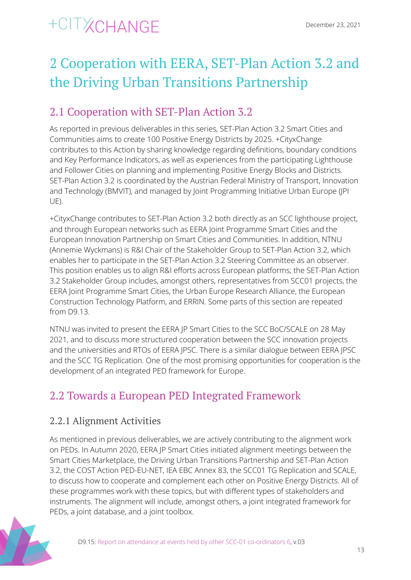## <span id="page-13-0"></span>2 Cooperation with EERA, SET-Plan Action 3.2 and the Driving Urban Transitions Partnership

### <span id="page-13-1"></span>2.1 Cooperation with SET-Plan Action 3.2

As reported in previous deliverables in this series, SET-Plan Action 3.2 Smart Cities and Communities aims to create 100 Positive Energy Districts by 2025. +CityxChange contributes to this Action by sharing knowledge regarding definitions, boundary conditions and Key Performance Indicators, as well as experiences from the participating Lighthouse and Follower Cities on planning and implementing Positive Energy Blocks and Districts. SET-Plan Action 3.2 is coordinated by the Austrian Federal Ministry of Transport, Innovation and Technology (BMVIT), and managed by Joint Programming Initiative Urban Europe (JPI UE).

+CityxChange contributes to SET-Plan Action 3.2 both directly as an SCC lighthouse project, and through European networks such as EERA Joint Programme Smart Cities and the European Innovation Partnership on Smart Cities and Communities. In addition, NTNU (Annemie Wyckmans) is R&I Chair of the Stakeholder Group to SET-Plan Action 3.2, which enables her to participate in the SET-Plan Action 3.2 Steering Committee as an observer. This position enables us to align R&I efforts across European platforms; the SET-Plan Action 3.2 Stakeholder Group includes, amongst others, representatives from SCC01 projects, the EERA Joint Programme Smart Cities, the Urban Europe Research Alliance, the European Construction Technology Platform, and ERRIN. Some parts of this section are repeated from D9.13.

NTNU was invited to present the EERA JP Smart Cities to the SCC BoC/SCALE on 28 May 2021, and to discuss more structured cooperation between the SCC innovation projects and the universities and RTOs of EERA JPSC. There is a similar dialogue between EERA JPSC and the SCC TG Replication. One of the most promising opportunities for cooperation is the development of an integrated PED framework for Europe.

### <span id="page-13-2"></span>2.2 Towards a European PED Integrated Framework

#### <span id="page-13-3"></span>2.2.1 Alignment Activities

As mentioned in previous deliverables, we are actively contributing to the alignment work on PEDs. In Autumn 2020, EERA JP Smart Cities initiated alignment meetings between the Smart Cities Marketplace, the Driving Urban Transitions Partnership and SET-Plan Action 3.2, the COST Action PED-EU-NET, IEA EBC Annex 83, the SCC01 TG Replication and SCALE, to discuss how to cooperate and complement each other on Positive Energy Districts. All of these programmes work with these topics, but with different types of stakeholders and instruments. The alignment will include, amongst others, a joint integrated framework for PEDs, a joint database, and a joint toolbox.

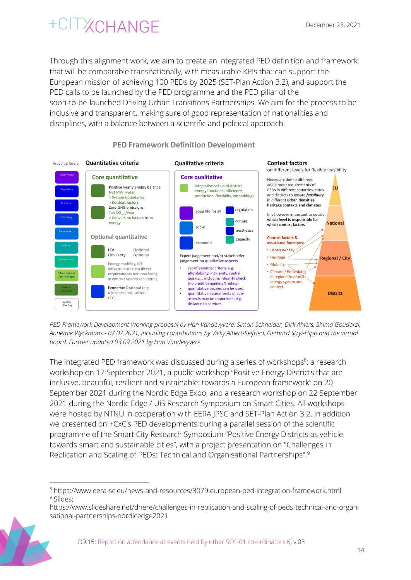Through this alignment work, we aim to create an integrated PED definition and framework that will be comparable transnationally, with measurable KPIs that can support the European mission of achieving 100 PEDs by 2025 (SET-Plan Action 3.2), and support the PED calls to be launched by the PED programme and the PED pillar of the soon-to-be-launched Driving Urban Transitions Partnerships. We aim for the process to be inclusive and transparent, making sure of good representation of nationalities and disciplines, with a balance between a scientific and political approach.



#### **PED Framework Definition Development**

*PED Framework Development Working proposal by Han Vandevyvere, Simon Schneider, Dirk Ahlers, Shima Goudarzi, Annemie Wyckmans - 07.07.2021, including contributions by Vicky Albert-Seifried, Gerhard Stryi-Hipp and the virtual board. Further updated 03.09.2021 by Han Vandevyvere*

The integrated PED framework was discussed during a series of workshops<sup>8</sup>: a research workshop on 17 September 2021, a public workshop "Positive Energy Districts that are inclusive, beautiful, resilient and sustainable: towards a European framework" on 20 September 2021 during the Nordic Edge Expo, and a research workshop on 22 September 2021 during the Nordic Edge / UiS Research Symposium on Smart Cities. All workshops were hosted by NTNU in cooperation with EERA JPSC and SET-Plan Action 3.2. In addition we presented on +CxC's PED developments during a parallel session of the scientific programme of the Smart City Research Symposium "Positive Energy Districts as vehicle towards smart and sustainable cities", with a project presentation on "Challenges in Replication and Scaling of PEDs: Technical and Organisational Partnerships". 9

[https://www.slideshare.net/dhere/challenges-in-replication-and-scaling-of-peds-technical-and-organi](https://www.slideshare.net/dhere/challenges-in-replication-and-scaling-of-peds-technical-and-organisational-partnerships-nordicedge2021) [sational-partnerships-nordicedge2021](https://www.slideshare.net/dhere/challenges-in-replication-and-scaling-of-peds-technical-and-organisational-partnerships-nordicedge2021)



<sup>&</sup>lt;sup>9</sup> Slides: <sup>8</sup> https://www.eera-sc.eu/news-and-resources/3079:european-ped-integration-framework.html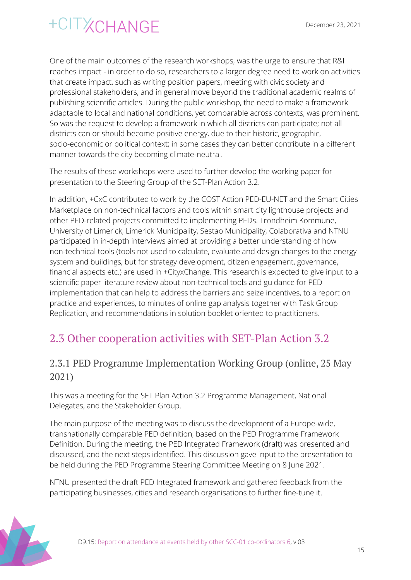One of the main outcomes of the research workshops, was the urge to ensure that R&I reaches impact - in order to do so, researchers to a larger degree need to work on activities that create impact, such as writing position papers, meeting with civic society and professional stakeholders, and in general move beyond the traditional academic realms of publishing scientific articles. During the public workshop, the need to make a framework adaptable to local and national conditions, yet comparable across contexts, was prominent. So was the request to develop a framework in which all districts can participate; not all districts can or should become positive energy, due to their historic, geographic, socio-economic or political context; in some cases they can better contribute in a different manner towards the city becoming climate-neutral.

The results of these workshops were used to further develop the working paper for presentation to the Steering Group of the SET-Plan Action 3.2.

In addition, +CxC contributed to work by the COST Action PED-EU-NET and the Smart Cities Marketplace on non-technical factors and tools within smart city lighthouse projects and other PED-related projects committed to implementing PEDs. Trondheim Kommune, University of Limerick, Limerick Municipality, Sestao Municipality, Colaborativa and NTNU participated in in-depth interviews aimed at providing a better understanding of how non-technical tools (tools not used to calculate, evaluate and design changes to the energy system and buildings, but for strategy development, citizen engagement, governance, financial aspects etc.) are used in +CityxChange. This research is expected to give input to a scientific paper literature review about non-technical tools and guidance for PED implementation that can help to address the barriers and seize incentives, to a report on practice and experiences, to minutes of online gap analysis together with Task Group Replication, and recommendations in solution booklet oriented to practitioners.

### <span id="page-15-0"></span>2.3 Other cooperation activities with SET-Plan Action 3.2

#### <span id="page-15-1"></span>2.3.1 PED Programme Implementation Working Group (online, 25 May 2021)

This was a meeting for the SET Plan Action 3.2 Programme Management, National Delegates, and the Stakeholder Group.

The main purpose of the meeting was to discuss the development of a Europe-wide, transnationally comparable PED definition, based on the PED Programme Framework Definition. During the meeting, the PED Integrated Framework (draft) was presented and discussed, and the next steps identified. This discussion gave input to the presentation to be held during the PED Programme Steering Committee Meeting on 8 June 2021.

NTNU presented the draft PED Integrated framework and gathered feedback from the participating businesses, cities and research organisations to further fine-tune it.

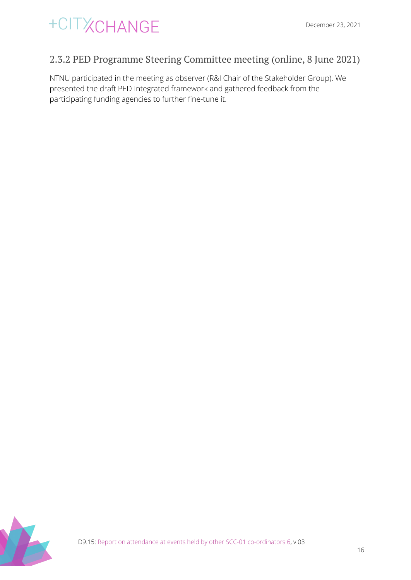

#### <span id="page-16-0"></span>2.3.2 PED Programme Steering Committee meeting (online, 8 June 2021)

NTNU participated in the meeting as observer (R&I Chair of the Stakeholder Group). We presented the draft PED Integrated framework and gathered feedback from the participating funding agencies to further fine-tune it.

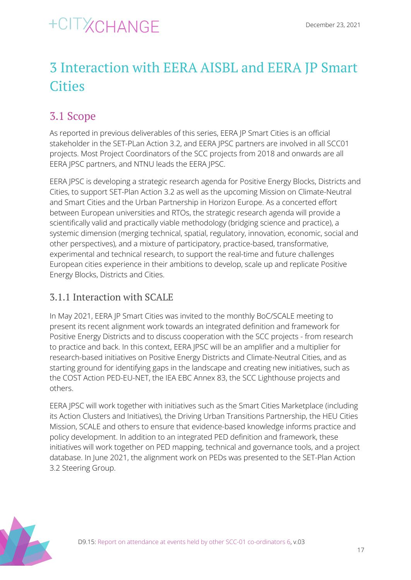## <span id="page-17-0"></span>3 Interaction with EERA AISBL and EERA JP Smart **Cities**

### <span id="page-17-1"></span>3.1 Scope

As reported in previous deliverables of this series, EERA JP Smart Cities is an official stakeholder in the SET-PLan Action 3.2, and EERA JPSC partners are involved in all SCC01 projects. Most Project Coordinators of the SCC projects from 2018 and onwards are all EERA JPSC partners, and NTNU leads the EERA JPSC.

EERA JPSC is developing a strategic research agenda for Positive Energy Blocks, Districts and Cities, to support SET-Plan Action 3.2 as well as the upcoming Mission on Climate-Neutral and Smart Cities and the Urban Partnership in Horizon Europe. As a concerted effort between European universities and RTOs, the strategic research agenda will provide a scientifically valid and practically viable methodology (bridging science and practice), a systemic dimension (merging technical, spatial, regulatory, innovation, economic, social and other perspectives), and a mixture of participatory, practice-based, transformative, experimental and technical research, to support the real-time and future challenges European cities experience in their ambitions to develop, scale up and replicate Positive Energy Blocks, Districts and Cities.

#### <span id="page-17-2"></span>3.1.1 Interaction with SCALE

In May 2021, EERA JP Smart Cities was invited to the monthly BoC/SCALE meeting to present its recent alignment work towards an integrated definition and framework for Positive Energy Districts and to discuss cooperation with the SCC projects - from research to practice and back. In this context, EERA JPSC will be an amplifier and a multiplier for research-based initiatives on Positive Energy Districts and Climate-Neutral Cities, and as starting ground for identifying gaps in the landscape and creating new initiatives, such as the COST Action PED-EU-NET, the IEA EBC Annex 83, the SCC Lighthouse projects and others.

EERA JPSC will work together with initiatives such as the Smart Cities Marketplace (including its Action Clusters and Initiatives), the Driving Urban Transitions Partnership, the HEU Cities Mission, SCALE and others to ensure that evidence-based knowledge informs practice and policy development. In addition to an integrated PED definition and framework, these initiatives will work together on PED mapping, technical and governance tools, and a project database. In June 2021, the alignment work on PEDs was presented to the SET-Plan Action 3.2 Steering Group.

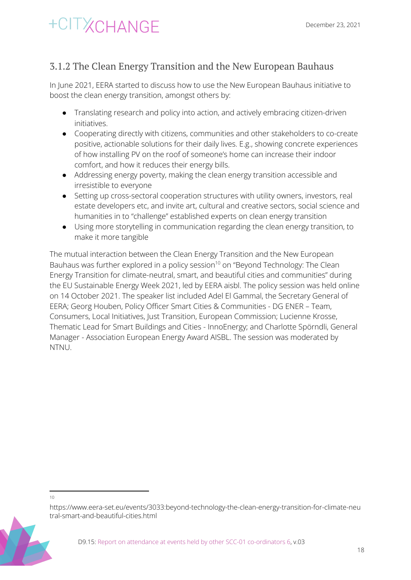#### <span id="page-18-0"></span>3.1.2 The Clean Energy Transition and the New European Bauhaus

In June 2021, EERA started to discuss how to use the New European Bauhaus initiative to boost the clean energy transition, amongst others by:

- Translating research and policy into action, and actively embracing citizen-driven initiatives.
- Cooperating directly with citizens, communities and other stakeholders to co-create positive, actionable solutions for their daily lives. E.g., showing concrete experiences of how installing PV on the roof of someone's home can increase their indoor comfort, and how it reduces their energy bills.
- Addressing energy poverty, making the clean energy transition accessible and irresistible to everyone
- Setting up cross-sectoral cooperation structures with utility owners, investors, real estate developers etc, and invite art, cultural and creative sectors, social science and humanities in to "challenge" established experts on clean energy transition
- Using more storytelling in communication regarding the clean energy transition, to make it more tangible

The mutual interaction between the Clean Energy Transition and the New European Bauhaus was further explored in a policy session<sup>10</sup> on "Beyond Technology: The Clean Energy Transition for climate-neutral, smart, and beautiful cities and communities" during the EU Sustainable Energy Week 2021, led by EERA aisbl. The policy session was held online on 14 October 2021. The speaker list included Adel El Gammal, the Secretary General of EERA; Georg Houben, Policy Officer Smart Cities & Communities - DG ENER – Team, Consumers, Local Initiatives, Just Transition, European Commission; Lucienne Krosse, Thematic Lead for Smart Buildings and Cities - InnoEnergy; and Charlotte Spörndli, General Manager - Association European Energy Award AISBL. The session was moderated by NTNU.

10

https://www.eera-set.eu/events/3033:beyond-technology-the-clean-energy-transition-for-climate-neu tral-smart-and-beautiful-cities.html